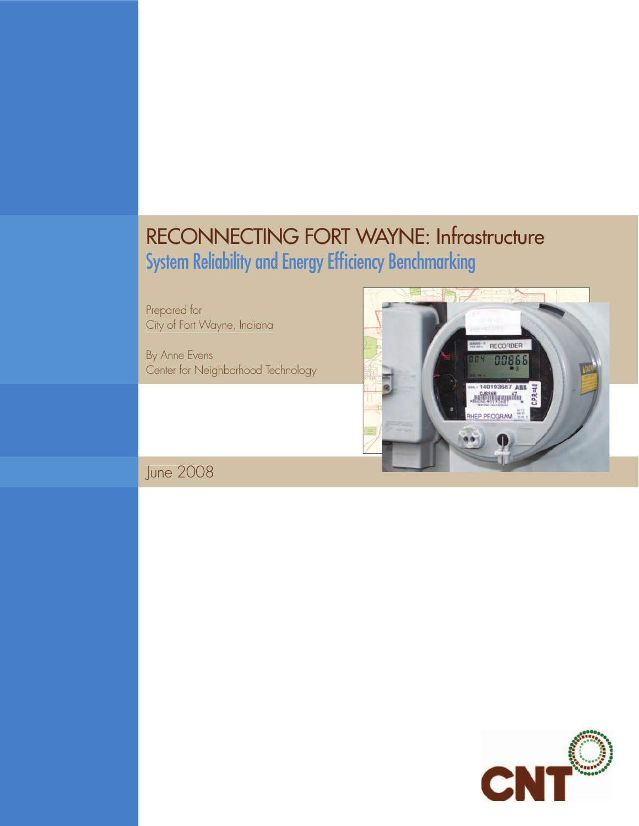# RECONNECTING FORT WAYNE: Infrastructure System Reliability and Energy Efficiency Benchmarking

Prepared for City of Fort Wayne, Indiana

By Anne Evens Center for Neighborhood Technology



June 2008

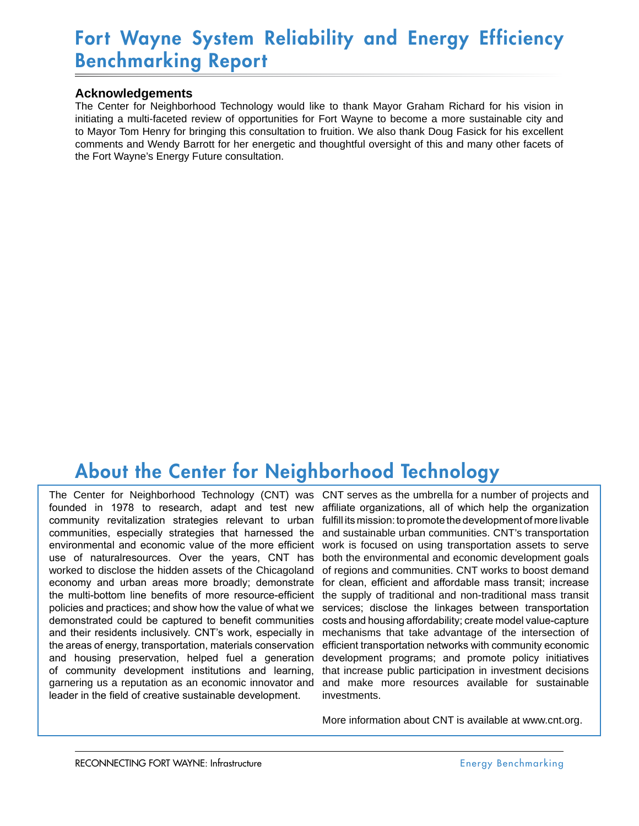## Fort Wayne System Reliability and Energy Efficiency Benchmarking Report

### **Acknowledgements**

The Center for Neighborhood Technology would like to thank Mayor Graham Richard for his vision in initiating a multi-faceted review of opportunities for Fort Wayne to become a more sustainable city and to Mayor Tom Henry for bringing this consultation to fruition. We also thank Doug Fasick for his excellent comments and Wendy Barrott for her energetic and thoughtful oversight of this and many other facets of the Fort Wayne's Energy Future consultation.

## About the Center for Neighborhood Technology

founded in 1978 to research, adapt and test new community revitalization strategies relevant to urban communities, especially strategies that harnessed the environmental and economic value of the more efficient use of naturalresources. Over the years, CNT has worked to disclose the hidden assets of the Chicagoland economy and urban areas more broadly; demonstrate the multi-bottom line benefits of more resource-efficient policies and practices; and show how the value of what we demonstrated could be captured to benefit communities and their residents inclusively. CNT's work, especially in the areas of energy, transportation, materials conservation and housing preservation, helped fuel a generation of community development institutions and learning, garnering us a reputation as an economic innovator and leader in the field of creative sustainable development.

The Center for Neighborhood Technology (CNT) was CNT serves as the umbrella for a number of projects and affiliate organizations, all of which help the organization fulfill its mission: to promote the development of more livable and sustainable urban communities. CNT's transportation work is focused on using transportation assets to serve both the environmental and economic development goals of regions and communities. CNT works to boost demand for clean, efficient and affordable mass transit; increase the supply of traditional and non-traditional mass transit services; disclose the linkages between transportation costs and housing affordability; create model value-capture mechanisms that take advantage of the intersection of efficient transportation networks with community economic development programs; and promote policy initiatives that increase public participation in investment decisions and make more resources available for sustainable investments.

More information about CNT is available at www.cnt.org.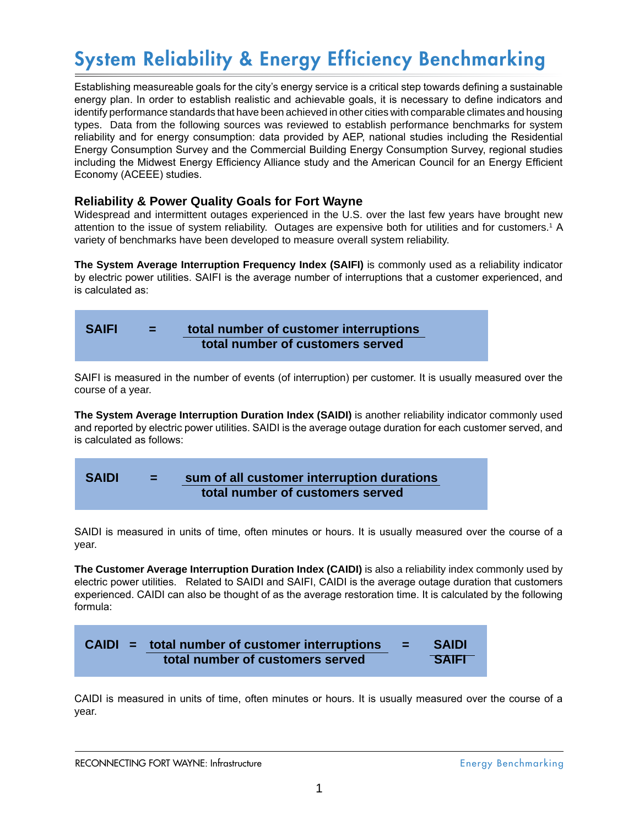# System Reliability & Energy Efficiency Benchmarking

Establishing measureable goals for the city's energy service is a critical step towards defining a sustainable energy plan. In order to establish realistic and achievable goals, it is necessary to define indicators and identify performance standards that have been achieved in other cities with comparable climates and housing types. Data from the following sources was reviewed to establish performance benchmarks for system reliability and for energy consumption: data provided by AEP, national studies including the Residential Energy Consumption Survey and the Commercial Building Energy Consumption Survey, regional studies including the Midwest Energy Efficiency Alliance study and the American Council for an Energy Efficient Economy (ACEEE) studies.

## **Reliability & Power Quality Goals for Fort Wayne**

Widespread and intermittent outages experienced in the U.S. over the last few years have brought new attention to the issue of system reliability. Outages are expensive both for utilities and for customers.1 A variety of benchmarks have been developed to measure overall system reliability.

**The System Average Interruption Frequency Index (SAIFI)** is commonly used as a reliability indicator by electric power utilities. SAIFI is the average number of interruptions that a customer experienced, and is calculated as:

| <b>SAIFI</b> | VEN. | total number of customer interruptions |  |  |
|--------------|------|----------------------------------------|--|--|
|              |      | total number of customers served       |  |  |

SAIFI is measured in the number of events (of interruption) per customer. It is usually measured over the course of a year.

**The System Average Interruption Duration Index (SAIDI)** is another reliability indicator commonly used and reported by electric power utilities. SAIDI is the average outage duration for each customer served, and is calculated as follows:

## **SAIDI = sum of all customer interruption durations total number of customers served**

SAIDI is measured in units of time, often minutes or hours. It is usually measured over the course of a year.

**The Customer Average Interruption Duration Index (CAIDI)** is also a reliability index commonly used by electric power utilities. Related to SAIDI and SAIFI, CAIDI is the average outage duration that customers experienced. CAIDI can also be thought of as the average restoration time. It is calculated by the following formula:



CAIDI is measured in units of time, often minutes or hours. It is usually measured over the course of a year.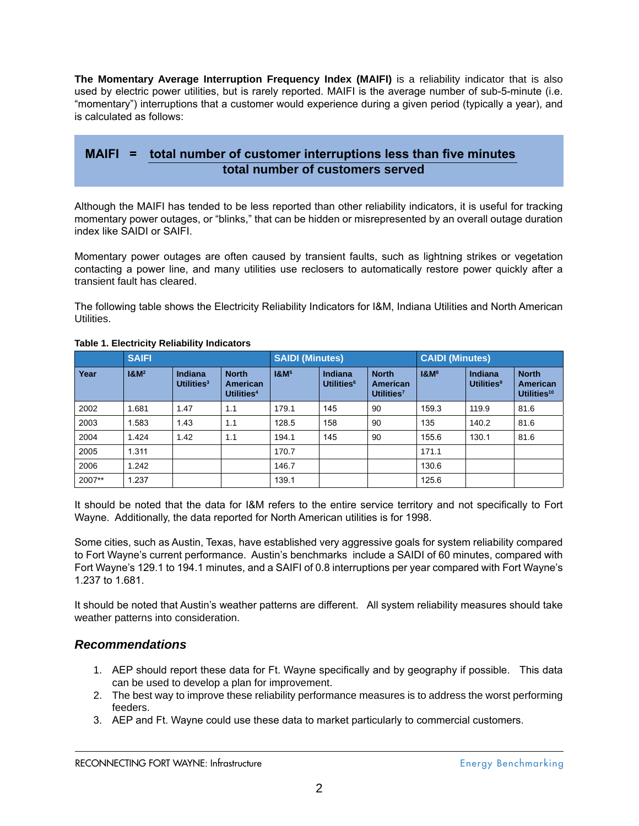**The Momentary Average Interruption Frequency Index (MAIFI)** is a reliability indicator that is also used by electric power utilities, but is rarely reported. MAIFI is the average number of sub-5-minute (i.e. "momentary") interruptions that a customer would experience during a given period (typically a year), and is calculated as follows:

## **MAIFI = total number of customer interruptions less than five minutes total number of customers served**

Although the MAIFI has tended to be less reported than other reliability indicators, it is useful for tracking momentary power outages, or "blinks," that can be hidden or misrepresented by an overall outage duration index like SAIDI or SAIFI.

Momentary power outages are often caused by transient faults, such as lightning strikes or vegetation contacting a power line, and many utilities use reclosers to automatically restore power quickly after a transient fault has cleared.

The following table shows the Electricity Reliability Indicators for I&M, Indiana Utilities and North American Utilities.

|        | <b>SAIFI</b>     |                                 |                                                    | <b>SAIDI (Minutes)</b> |                                          |                                                           | <b>CAIDI (Minutes)</b> |                                                |                                                     |
|--------|------------------|---------------------------------|----------------------------------------------------|------------------------|------------------------------------------|-----------------------------------------------------------|------------------------|------------------------------------------------|-----------------------------------------------------|
| Year   | 18M <sup>2</sup> | <b>Indiana</b><br>Utilities $3$ | <b>North</b><br>American<br>Utilities <sup>4</sup> | 18 <sub>M</sub>        | <b>Indiana</b><br>Utilities <sup>6</sup> | <b>North</b><br><b>American</b><br>Utilities <sup>7</sup> | 18 <sup>8</sup>        | <b>Indiana</b><br><b>Utilities<sup>9</sup></b> | <b>North</b><br>American<br>Utilities <sup>10</sup> |
| 2002   | 1.681            | 1.47                            | 1.1                                                | 179.1                  | 145                                      | 90                                                        | 159.3                  | 119.9                                          | 81.6                                                |
| 2003   | 1.583            | 1.43                            | 1.1                                                | 128.5                  | 158                                      | 90                                                        | 135                    | 140.2                                          | 81.6                                                |
| 2004   | 1.424            | 1.42                            | 1.1                                                | 194.1                  | 145                                      | 90                                                        | 155.6                  | 130.1                                          | 81.6                                                |
| 2005   | 1.311            |                                 |                                                    | 170.7                  |                                          |                                                           | 171.1                  |                                                |                                                     |
| 2006   | 1.242            |                                 |                                                    | 146.7                  |                                          |                                                           | 130.6                  |                                                |                                                     |
| 2007** | 1.237            |                                 |                                                    | 139.1                  |                                          |                                                           | 125.6                  |                                                |                                                     |

#### **Table 1. Electricity Reliability Indicators**

It should be noted that the data for I&M refers to the entire service territory and not specifically to Fort Wayne. Additionally, the data reported for North American utilities is for 1998.

Some cities, such as Austin, Texas, have established very aggressive goals for system reliability compared to Fort Wayne's current performance. Austin's benchmarks include a SAIDI of 60 minutes, compared with Fort Wayne's 129.1 to 194.1 minutes, and a SAIFI of 0.8 interruptions per year compared with Fort Wayne's 1.237 to 1.681.

It should be noted that Austin's weather patterns are different. All system reliability measures should take weather patterns into consideration.

### *Recommendations*

- AEP should report these data for Ft. Wayne specifically and by geography if possible. This data 1. can be used to develop a plan for improvement.
- The best way to improve these reliability performance measures is to address the worst performing 2. feeders.
- AEP and Ft. Wayne could use these data to market particularly to commercial customers. 3.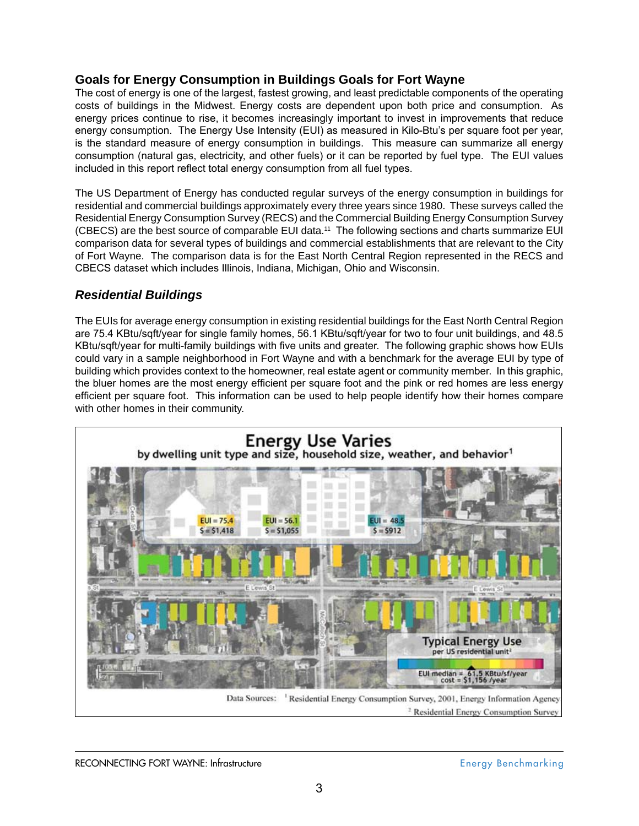## **Goals for Energy Consumption in Buildings Goals for Fort Wayne**

The cost of energy is one of the largest, fastest growing, and least predictable components of the operating costs of buildings in the Midwest. Energy costs are dependent upon both price and consumption. As energy prices continue to rise, it becomes increasingly important to invest in improvements that reduce energy consumption. The Energy Use Intensity (EUI) as measured in Kilo-Btu's per square foot per year, is the standard measure of energy consumption in buildings. This measure can summarize all energy consumption (natural gas, electricity, and other fuels) or it can be reported by fuel type. The EUI values included in this report reflect total energy consumption from all fuel types.

The US Department of Energy has conducted regular surveys of the energy consumption in buildings for residential and commercial buildings approximately every three years since 1980. These surveys called the Residential Energy Consumption Survey (RECS) and the Commercial Building Energy Consumption Survey (CBECS) are the best source of comparable EUI data.11 The following sections and charts summarize EUI comparison data for several types of buildings and commercial establishments that are relevant to the City of Fort Wayne. The comparison data is for the East North Central Region represented in the RECS and CBECS dataset which includes Illinois, Indiana, Michigan, Ohio and Wisconsin.

## *Residential Buildings*

The EUIs for average energy consumption in existing residential buildings for the East North Central Region are 75.4 KBtu/sqft/year for single family homes, 56.1 KBtu/sqft/year for two to four unit buildings, and 48.5 KBtu/sqft/year for multi-family buildings with five units and greater. The following graphic shows how EUIs could vary in a sample neighborhood in Fort Wayne and with a benchmark for the average EUI by type of building which provides context to the homeowner, real estate agent or community member. In this graphic, the bluer homes are the most energy efficient per square foot and the pink or red homes are less energy efficient per square foot. This information can be used to help people identify how their homes compare with other homes in their community.

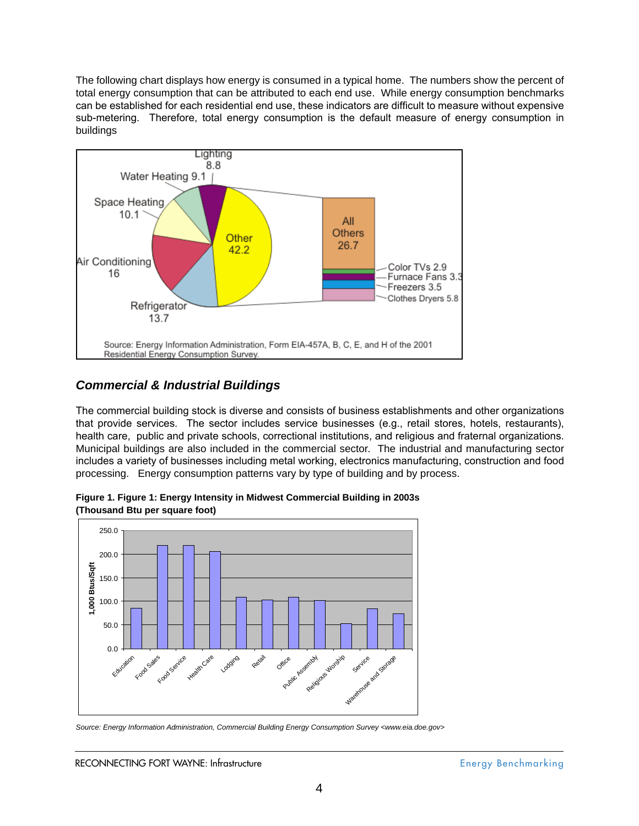The following chart displays how energy is consumed in a typical home. The numbers show the percent of total energy consumption that can be attributed to each end use. While energy consumption benchmarks can be established for each residential end use, these indicators are difficult to measure without expensive sub-metering. Therefore, total energy consumption is the default measure of energy consumption in buildings



## *Commercial & Industrial Buildings*

The commercial building stock is diverse and consists of business establishments and other organizations that provide services. The sector includes service businesses (e.g., retail stores, hotels, restaurants), health care, public and private schools, correctional institutions, and religious and fraternal organizations. Municipal buildings are also included in the commercial sector. The industrial and manufacturing sector includes a variety of businesses including metal working, electronics manufacturing, construction and food processing. Energy consumption patterns vary by type of building and by process.



**Figure 1. Figure 1: Energy Intensity in Midwest Commercial Building in 2003s (Thousand Btu per square foot)**

*Source: Energy Information Administration, Commercial Building Energy Consumption Survey <www.eia.doe.gov>*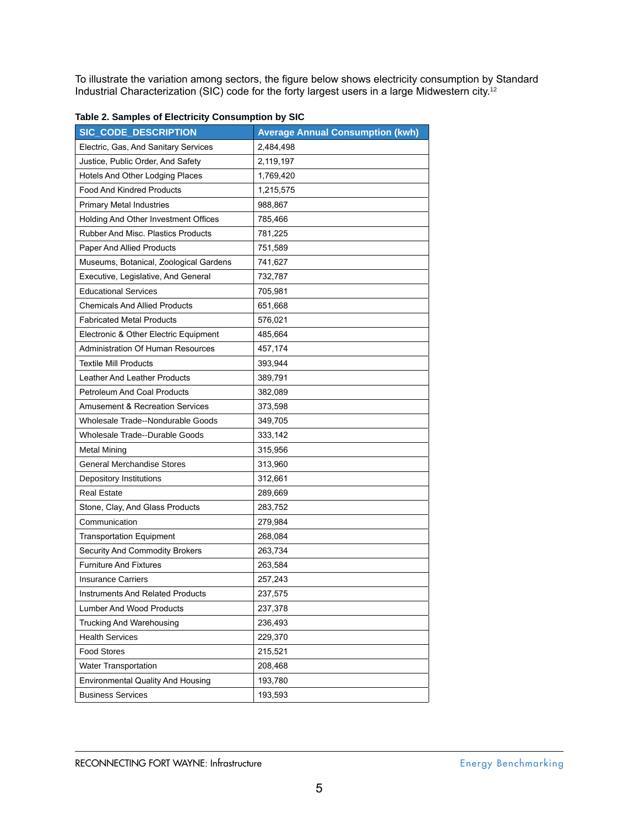To illustrate the variation among sectors, the figure below shows electricity consumption by Standard Industrial Characterization (SIC) code for the forty largest users in a large Midwestern city.<sup>12</sup>

| <b>SIC CODE DESCRIPTION</b>                | <b>Average Annual Consumption (kwh)</b> |
|--------------------------------------------|-----------------------------------------|
| Electric, Gas, And Sanitary Services       | 2,484,498                               |
| Justice, Public Order, And Safety          | 2,119,197                               |
| Hotels And Other Lodging Places            | 1,769,420                               |
| <b>Food And Kindred Products</b>           | 1,215,575                               |
| <b>Primary Metal Industries</b>            | 988,867                                 |
| Holding And Other Investment Offices       | 785,466                                 |
| <b>Rubber And Misc. Plastics Products</b>  | 781,225                                 |
| <b>Paper And Allied Products</b>           | 751,589                                 |
| Museums, Botanical, Zoological Gardens     | 741,627                                 |
| Executive, Legislative, And General        | 732,787                                 |
| <b>Educational Services</b>                | 705,981                                 |
| <b>Chemicals And Allied Products</b>       | 651,668                                 |
| <b>Fabricated Metal Products</b>           | 576,021                                 |
| Electronic & Other Electric Equipment      | 485,664                                 |
| <b>Administration Of Human Resources</b>   | 457,174                                 |
| <b>Textile Mill Products</b>               | 393,944                                 |
| Leather And Leather Products               | 389,791                                 |
| <b>Petroleum And Coal Products</b>         | 382,089                                 |
| <b>Amusement &amp; Recreation Services</b> | 373,598                                 |
| Wholesale Trade--Nondurable Goods          | 349,705                                 |
| <b>Wholesale Trade--Durable Goods</b>      | 333,142                                 |
| Metal Mining                               | 315,956                                 |
| <b>General Merchandise Stores</b>          | 313,960                                 |
| Depository Institutions                    | 312,661                                 |
| <b>Real Estate</b>                         | 289,669                                 |
| Stone, Clay, And Glass Products            | 283,752                                 |
| Communication                              | 279,984                                 |
| <b>Transportation Equipment</b>            | 268,084                                 |
| <b>Security And Commodity Brokers</b>      | 263,734                                 |
| <b>Furniture And Fixtures</b>              | 263,584                                 |
| <b>Insurance Carriers</b>                  | 257,243                                 |
| <b>Instruments And Related Products</b>    | 237,575                                 |
| Lumber And Wood Products                   | 237,378                                 |
| Trucking And Warehousing                   | 236,493                                 |
| <b>Health Services</b>                     | 229,370                                 |
| <b>Food Stores</b>                         | 215,521                                 |
| <b>Water Transportation</b>                | 208,468                                 |
| <b>Environmental Quality And Housing</b>   | 193,780                                 |
| <b>Business Services</b>                   | 193,593                                 |

| Table 2. Samples of Electricity Consumption by SIC |  |  |  |
|----------------------------------------------------|--|--|--|
|----------------------------------------------------|--|--|--|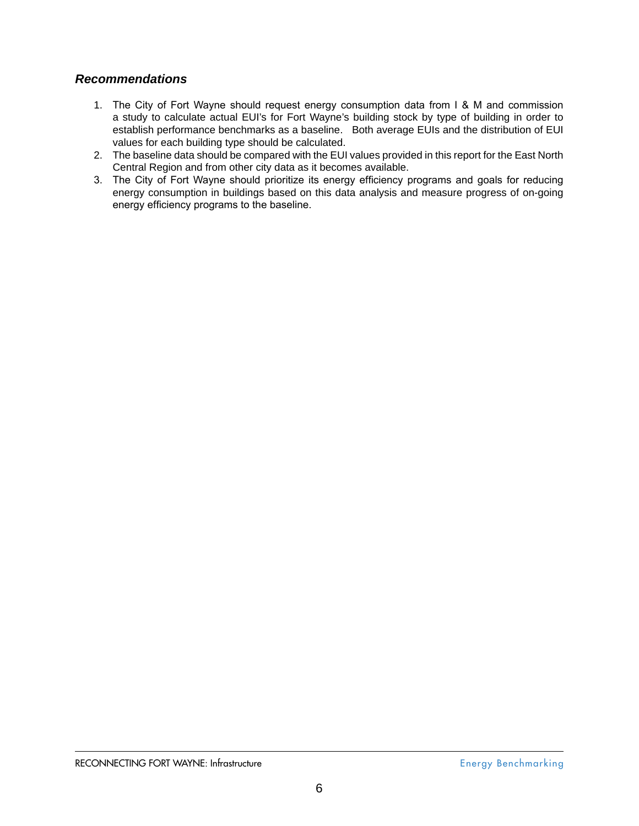## *Recommendations*

- The City of Fort Wayne should request energy consumption data from I & M and commission 1. a study to calculate actual EUI's for Fort Wayne's building stock by type of building in order to establish performance benchmarks as a baseline. Both average EUIs and the distribution of EUI values for each building type should be calculated.
- The baseline data should be compared with the EUI values provided in this report for the East North 2. Central Region and from other city data as it becomes available.
- The City of Fort Wayne should prioritize its energy efficiency programs and goals for reducing 3. energy consumption in buildings based on this data analysis and measure progress of on-going energy efficiency programs to the baseline.